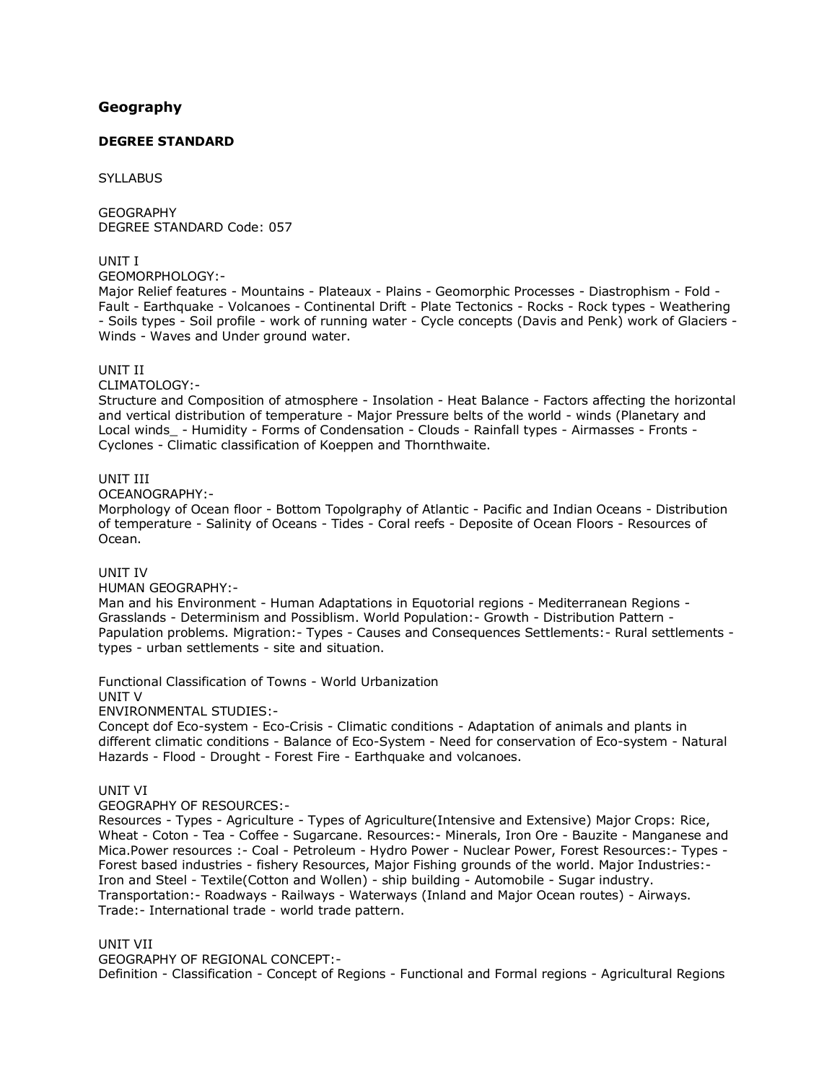# **[Geography](http://www.tnpsc.gov.in/Geographyde.html)**

## **DEGREE STANDARD**

**SYLLABUS** 

**GEOGRAPHY** DEGREE STANDARD Code: 057

UNIT I

GEOMORPHOLOGY:-

Major Relief features - Mountains - Plateaux - Plains - Geomorphic Processes - Diastrophism - Fold - Fault - Earthquake - Volcanoes - Continental Drift - Plate Tectonics - Rocks - Rock types - Weathering - Soils types - Soil profile - work of running water - Cycle concepts (Davis and Penk) work of Glaciers - Winds - Waves and Under ground water.

### UNIT II

CLIMATOLOGY:-

Structure and Composition of atmosphere - Insolation - Heat Balance - Factors affecting the horizontal and vertical distribution of temperature - Major Pressure belts of the world - winds (Planetary and Local winds - Humidity - Forms of Condensation - Clouds - Rainfall types - Airmasses - Fronts -Cyclones - Climatic classification of Koeppen and Thornthwaite.

### UNIT III

OCEANOGRAPHY:-

Morphology of Ocean floor - Bottom Topolgraphy of Atlantic - Pacific and Indian Oceans - Distribution of temperature - Salinity of Oceans - Tides - Coral reefs - Deposite of Ocean Floors - Resources of Ocean.

#### UNIT IV

HUMAN GEOGRAPHY:-

Man and his Environment - Human Adaptations in Equotorial regions - Mediterranean Regions - Grasslands - Determinism and Possiblism. World Population:- Growth - Distribution Pattern - Papulation problems. Migration:- Types - Causes and Consequences Settlements:- Rural settlements types - urban settlements - site and situation.

Functional Classification of Towns - World Urbanization UNIT V

ENVIRONMENTAL STUDIES:-

Concept dof Eco-system - Eco-Crisis - Climatic conditions - Adaptation of animals and plants in different climatic conditions - Balance of Eco-System - Need for conservation of Eco-system - Natural Hazards - Flood - Drought - Forest Fire - Earthquake and volcanoes.

## UNIT VI

GEOGRAPHY OF RESOURCES:-

Resources - Types - Agriculture - Types of Agriculture(Intensive and Extensive) Major Crops: Rice, Wheat - Coton - Tea - Coffee - Sugarcane. Resources:- Minerals, Iron Ore - Bauzite - Manganese and Mica.Power resources :- Coal - Petroleum - Hydro Power - Nuclear Power, Forest Resources:- Types - Forest based industries - fishery Resources, Major Fishing grounds of the world. Major Industries:- Iron and Steel - Textile(Cotton and Wollen) - ship building - Automobile - Sugar industry. Transportation:- Roadways - Railways - Waterways (Inland and Major Ocean routes) - Airways. Trade:- International trade - world trade pattern.

#### UNIT VII

GEOGRAPHY OF REGIONAL CONCEPT:- Definition - Classification - Concept of Regions - Functional and Formal regions - Agricultural Regions